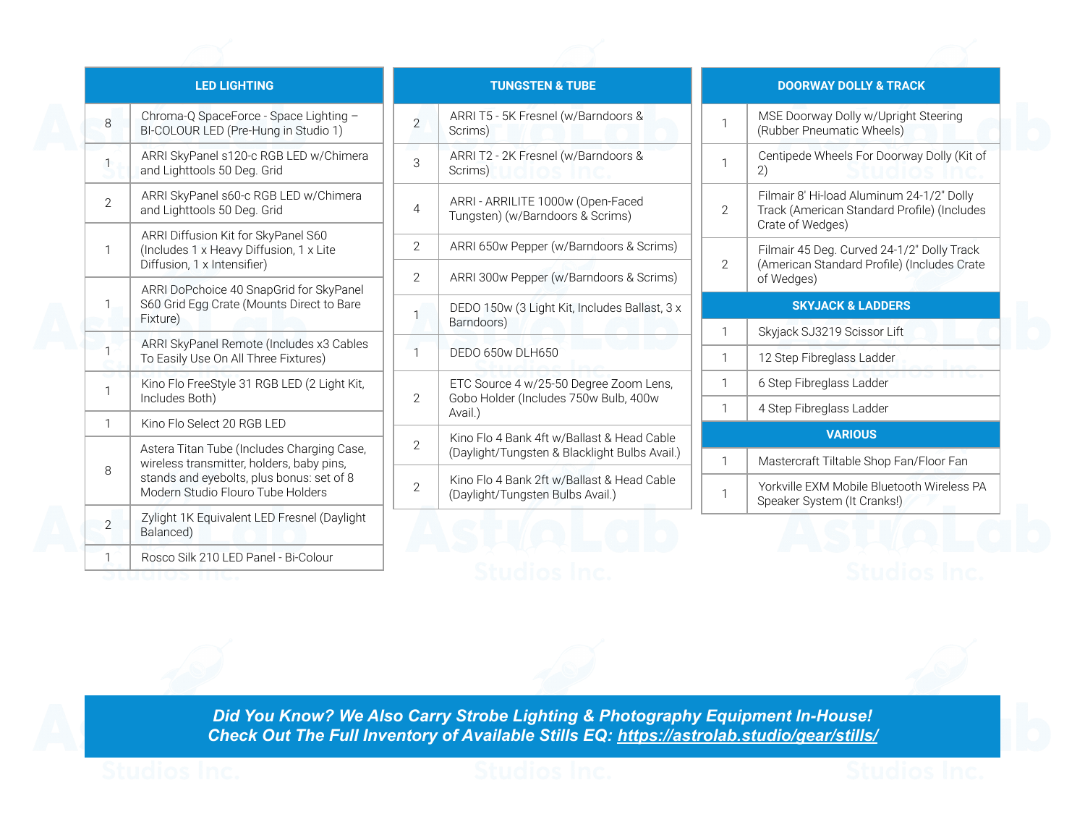|                | <b>LED LIGHTING</b>                                                                                                                                                       |
|----------------|---------------------------------------------------------------------------------------------------------------------------------------------------------------------------|
| 8              | Chroma-Q SpaceForce - Space Lighting -<br>BI-COLOUR LED (Pre-Hung in Studio 1)                                                                                            |
| 1              | ARRI SkyPanel s120-c RGB LED w/Chimera<br>and Lighttools 50 Deg. Grid                                                                                                     |
| $\overline{2}$ | ARRI SkyPanel s60-c RGB LED w/Chimera<br>and Lighttools 50 Deg. Grid                                                                                                      |
| 1              | ARRI Diffusion Kit for SkyPanel S60<br>(Includes 1 x Heavy Diffusion, 1 x Lite<br>Diffusion, 1 x Intensifier)                                                             |
| 1              | ARRI DoPchoice 40 SnapGrid for SkyPanel<br>S60 Grid Egg Crate (Mounts Direct to Bare<br>Fixture)                                                                          |
| 1              | ARRI SkyPanel Remote (Includes x3 Cables<br>To Easily Use On All Three Fixtures)                                                                                          |
| 1              | Kino Flo FreeStyle 31 RGB LED (2 Light Kit,<br>Includes Both)                                                                                                             |
| 1              | Kino Flo Select 20 RGB LED                                                                                                                                                |
| 8              | Astera Titan Tube (Includes Charging Case,<br>wireless transmitter, holders, baby pins,<br>stands and eyebolts, plus bonus: set of 8<br>Modern Studio Flouro Tube Holders |
| 2              | Zylight 1K Equivalent LED Fresnel (Daylight<br>Balanced)                                                                                                                  |
| 1              | Rosco Silk 210 LED Panel - Bi-Colour                                                                                                                                      |

| <b>TUNGSTEN &amp; TUBE</b> |                                                                                             |
|----------------------------|---------------------------------------------------------------------------------------------|
| $\mathfrak{D}$             | ARRI T5 - 5K Fresnel (w/Barndoors &<br>Scrims)                                              |
| 3                          | ARRI T2 - 2K Fresnel (w/Barndoors &<br>Scrims)                                              |
| 4                          | ARRI - ARRILITE 1000w (Open-Faced<br>Tungsten) (w/Barndoors & Scrims)                       |
| $\mathfrak{D}$             | ARRI 650w Pepper (w/Barndoors & Scrims)                                                     |
| 2                          | ARRI 300w Pepper (w/Barndoors & Scrims)                                                     |
| 1                          | DEDO 150w (3 Light Kit, Includes Ballast, 3 x<br>Barndoors)                                 |
| 1                          | DEDO 650w DLH650                                                                            |
| 2                          | ETC Source 4 w/25-50 Degree Zoom Lens,<br>Gobo Holder (Includes 750w Bulb, 400w<br>Avail.)  |
| 2                          | Kino Flo 4 Bank 4ft w/Ballast & Head Cable<br>(Daylight/Tungsten & Blacklight Bulbs Avail.) |
| 2                          | Kino Flo 4 Bank 2ft w/Ballast & Head Cable<br>(Daylight/Tungsten Bulbs Avail.)              |

## **DOORWAY DOLLY & TRACK**

| 1              | MSE Doorway Dolly w/Upright Steering<br>(Rubber Pneumatic Wheels)                                            |
|----------------|--------------------------------------------------------------------------------------------------------------|
| 1              | Centipede Wheels For Doorway Dolly (Kit of<br>2)                                                             |
| 2              | Filmair 8' Hi-load Aluminum 24-1/2" Dolly<br>Track (American Standard Profile) (Includes<br>Crate of Wedges) |
| $\mathfrak{D}$ | Filmair 45 Deg. Curved 24-1/2" Dolly Track<br>(American Standard Profile) (Includes Crate<br>of Wedges)      |
|                | <b>SKYJACK &amp; LADDERS</b>                                                                                 |
| 1              | Skyjack SJ3219 Scissor Lift                                                                                  |
| 1              | 12 Step Fibreglass Ladder                                                                                    |
| 1              | 6 Step Fibreglass Ladder                                                                                     |
| 1              | 4 Step Fibreglass Ladder                                                                                     |
|                |                                                                                                              |

## **VARIOUS** 1 | Mastercraft Tiltable Shop Fan/Floor Fan

Yorkville EXM Mobile Bluetooth Wireless PA Speaker System (It Cranks!)

1



*Did You Know? We Also Carry Strobe Lighting & Photography Equipment In-House! Check Out The Full Inventory of Available Stills EQ: <https://astrolab.studio/gear/stills/>*

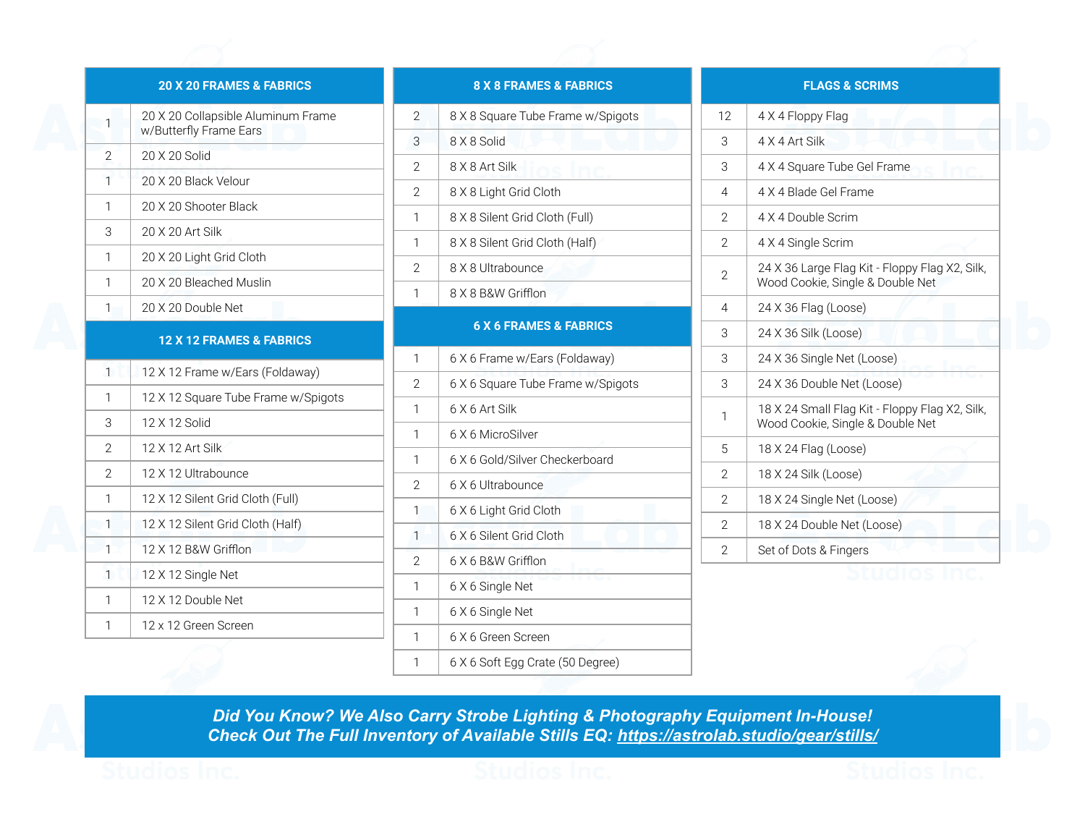## **20 X 20 FRAMES & FABRICS**

| 1                                   | 20 X 20 Collapsible Aluminum Frame<br>w/Butterfly Frame Ears |  |
|-------------------------------------|--------------------------------------------------------------|--|
| 2                                   | 20 X 20 Solid                                                |  |
| 1                                   | 20 X 20 Black Velour                                         |  |
| 1                                   | 20 X 20 Shooter Black                                        |  |
| 3                                   | 20 X 20 Art Silk                                             |  |
| 1                                   | 20 X 20 Light Grid Cloth                                     |  |
| 1                                   | 20 X 20 Bleached Muslin                                      |  |
| $\mathbf{1}$                        | 20 X 20 Double Net                                           |  |
| <b>12 X 12 FRAMES &amp; FABRICS</b> |                                                              |  |
| $\mathbf{1}$                        | 12 X 12 Frame w/Ears (Foldaway)                              |  |
| 1                                   | 12 X 12 Square Tube Frame w/Spigots                          |  |
|                                     |                                                              |  |
| 3                                   | 12 X 12 Solid                                                |  |
| $\mathcal{P}$                       | 12 X 12 Art Silk                                             |  |
| $\overline{2}$                      | 12 X 12 Ultrabounce                                          |  |
| 1                                   | 12 X 12 Silent Grid Cloth (Full)                             |  |
| 1                                   | 12 X 12 Silent Grid Cloth (Half)                             |  |
| 1                                   | 12 X 12 B&W Grifflon                                         |  |
| $\mathbf{1}$                        | 12 X 12 Single Net                                           |  |
| 1                                   | 12 X 12 Double Net                                           |  |
| 1                                   | 12 x 12 Green Screen                                         |  |

|                | <b>8 X 8 FRAMES &amp; FABRICS</b> |
|----------------|-----------------------------------|
| $\overline{2}$ | 8 X 8 Square Tube Frame w/Spigots |
| 3              | 8 X 8 Solid                       |
| $\overline{2}$ | 8 X 8 Art Silk                    |
| 2              | 8 X 8 Light Grid Cloth            |
| 1              | 8 X 8 Silent Grid Cloth (Full)    |
| 1              | 8 X 8 Silent Grid Cloth (Half)    |
| 2              | 8 X 8 Ultrabounce                 |
| 1              | 8 X 8 B&W Grifflon                |
|                | <b>6 X 6 FRAMES &amp; FABRICS</b> |
| 1              | 6 X 6 Frame w/Ears (Foldaway)     |
| 2              | 6 X 6 Square Tube Frame w/Spigots |
| 1              | 6 X 6 Art Silk                    |
| 1              | 6 X 6 MicroSilver                 |
| 1              | 6 X 6 Gold/Silver Checkerboard    |
| 2              | 6 X 6 Ultrabounce                 |
| 1              | 6 X 6 Light Grid Cloth            |
| 1              | 6 X 6 Silent Grid Cloth           |
| 2              | 6 X 6 B&W Grifflon                |
| 1              | 6 X 6 Single Net                  |
| 1              | 6 X 6 Single Net                  |
| 1              | 6 X 6 Green Screen                |
| 1              | 6 X 6 Soft Egg Crate (50 Degree)  |

|                | <b>FLAGS &amp; SCRIMS</b>                                                          |
|----------------|------------------------------------------------------------------------------------|
| 12             | 4 X 4 Floppy Flag                                                                  |
| 3              | 4 X 4 Art Silk                                                                     |
| 3              | 4 X 4 Square Tube Gel Frame                                                        |
| $\overline{4}$ | 4 X 4 Blade Gel Frame                                                              |
| $\overline{2}$ | 4 X 4 Double Scrim                                                                 |
| $\overline{2}$ | 4 X 4 Single Scrim                                                                 |
| 2              | 24 X 36 Large Flag Kit - Floppy Flag X2, Silk,<br>Wood Cookie, Single & Double Net |
| 4              | 24 X 36 Flag (Loose)                                                               |
| 3              | 24 X 36 Silk (Loose)                                                               |
| 3              | 24 X 36 Single Net (Loose)                                                         |
| 3              | 24 X 36 Double Net (Loose)                                                         |
| 1              | 18 X 24 Small Flag Kit - Floppy Flag X2, Silk,<br>Wood Cookie, Single & Double Net |
| 5              | 18 X 24 Flag (Loose)                                                               |
| $\overline{2}$ | 18 X 24 Silk (Loose)                                                               |
| $\overline{2}$ | 18 X 24 Single Net (Loose)                                                         |
| 2              | 18 X 24 Double Net (Loose)                                                         |
| $\mathcal{P}$  | Set of Dots & Fingers                                                              |

Studios Inc.

*Did You Know? We Also Carry Strobe Lighting & Photography Equipment In-House! Check Out The Full Inventory of Available Stills EQ: <https://astrolab.studio/gear/stills/>*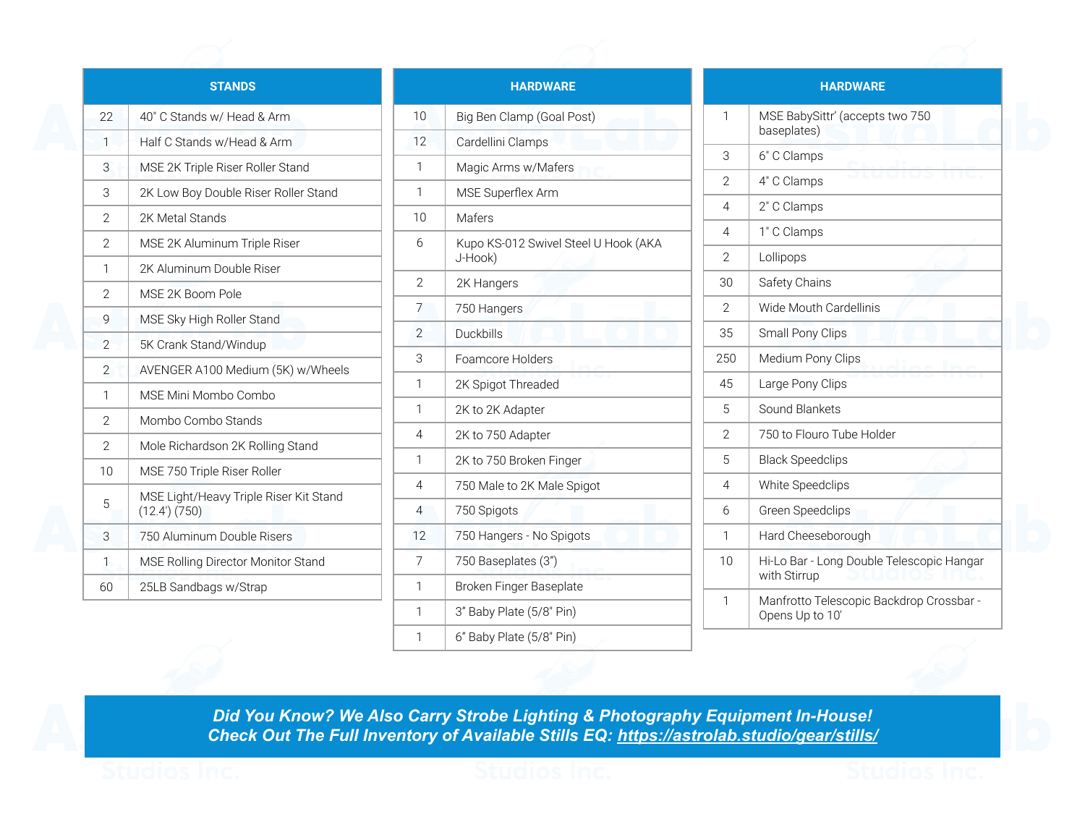|                          | <b>STANDS</b>                                         |
|--------------------------|-------------------------------------------------------|
| 22                       | 40" C Stands w/ Head & Arm                            |
| 1                        | Half C Stands w/Head & Arm                            |
| 3                        | MSE 2K Triple Riser Roller Stand                      |
| 3                        | 2K Low Boy Double Riser Roller Stand                  |
| $\mathfrak{D}$           | 2K Metal Stands                                       |
| $\overline{2}$           | MSE 2K Aluminum Triple Riser                          |
| 1                        | 2K Aluminum Double Riser                              |
| $\overline{2}$           | MSE 2K Boom Pole                                      |
| 9                        | MSE Sky High Roller Stand                             |
| $\overline{\phantom{0}}$ | 5K Crank Stand/Windup                                 |
| $\overline{2}$           | AVENGER A100 Medium (5K) w/Wheels                     |
| 1                        | MSE Mini Mombo Combo                                  |
| $\mathfrak{D}$           | Mombo Combo Stands                                    |
| $\overline{2}$           | Mole Richardson 2K Rolling Stand                      |
| 10                       | MSE 750 Triple Riser Roller                           |
| 5                        | MSE Light/Heavy Triple Riser Kit Stand<br>(12.4)(750) |
| 3                        | 750 Aluminum Double Risers                            |
| 1                        | MSE Rolling Director Monitor Stand                    |
| 60                       | 25LB Sandbags w/Strap                                 |
|                          |                                                       |

|                | <b>HARDWARE</b>                                 |
|----------------|-------------------------------------------------|
| 10             | Big Ben Clamp (Goal Post)                       |
| 12             | Cardellini Clamps                               |
| 1              | Magic Arms w/Mafers                             |
| 1              | MSE Superflex Arm                               |
| 10             | Mafers                                          |
| 6              | Kupo KS-012 Swivel Steel U Hook (AKA<br>J-Hook) |
| $\overline{2}$ | 2K Hangers                                      |
| 7              | 750 Hangers                                     |
| $\overline{2}$ | Duckbills                                       |
| 3              | Foamcore Holders                                |
| 1              | 2K Spigot Threaded                              |
| 1              | 2K to 2K Adapter                                |
| 4              | 2K to 750 Adapter                               |
| 1              | 2K to 750 Broken Finger                         |
| 4              | 750 Male to 2K Male Spigot                      |
| 4              | 750 Spigots                                     |
| 12             | 750 Hangers - No Spigots                        |
| 7              | 750 Baseplates (3")                             |
| 1              | Broken Finger Baseplate                         |
| 1              | 3" Baby Plate (5/8" Pin)                        |
| 1              | 6" Baby Plate (5/8" Pin)                        |

| <b>HARDWARE</b> |                                                             |  |
|-----------------|-------------------------------------------------------------|--|
| 1               | MSE BabySittr' (accepts two 750<br>baseplates)              |  |
| 3               | 6" C Clamps                                                 |  |
| $\overline{2}$  | 4" C Clamps                                                 |  |
| 4               | 2" C Clamps                                                 |  |
| 4               | 1" C Clamps                                                 |  |
| $\mathfrak{D}$  | Lollipops                                                   |  |
| 30              | Safety Chains                                               |  |
| $\mathfrak{D}$  | Wide Mouth Cardellinis                                      |  |
| 35              | Small Pony Clips                                            |  |
| 250             | Medium Pony Clips                                           |  |
| 45              | Large Pony Clips                                            |  |
| 5               | Sound Blankets                                              |  |
| $\overline{2}$  | 750 to Flouro Tube Holder                                   |  |
| 5               | <b>Black Speedclips</b>                                     |  |
| 4               | <b>White Speedclips</b>                                     |  |
| 6               | Green Speedclips                                            |  |
| 1               | Hard Cheeseborough                                          |  |
| 10              | Hi-Lo Bar - Long Double Telescopic Hangar<br>with Stirrup   |  |
| 1               | Manfrotto Telescopic Backdrop Crossbar -<br>Opens Up to 10' |  |

*Did You Know? We Also Carry Strobe Lighting & Photography Equipment In-House! Check Out The Full Inventory of Available Stills EQ: <https://astrolab.studio/gear/stills/>*